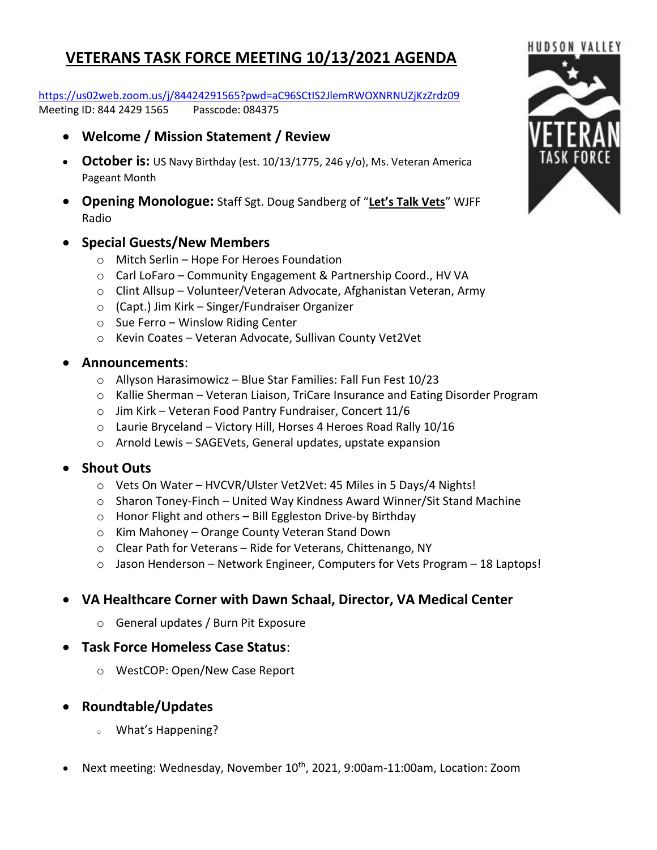# **VETERANS TASK FORCE MEETING 10/13/2021 AGENDA**

<https://us02web.zoom.us/j/84424291565?pwd=aC96SCtIS2JlemRWOXNRNUZjKzZrdz09> Meeting ID: 844 2429 1565 Passcode: 084375

- **Welcome / Mission Statement / Review**
- **October is:** US Navy Birthday (est. 10/13/1775, 246 y/o), Ms. Veteran America Pageant Month
- **Opening Monologue:** Staff Sgt. Doug Sandberg of "**Let's Talk Vets**" WJFF Radio

#### • **Special Guests/New Members**

- o Mitch Serlin Hope For Heroes Foundation
- o Carl LoFaro Community Engagement & Partnership Coord., HV VA
- o Clint Allsup Volunteer/Veteran Advocate, Afghanistan Veteran, Army
- o (Capt.) Jim Kirk Singer/Fundraiser Organizer
- $\circ$  Sue Ferro Winslow Riding Center
- o Kevin Coates Veteran Advocate, Sullivan County Vet2Vet

#### • **Announcements**:

- o Allyson Harasimowicz Blue Star Families: Fall Fun Fest 10/23
- o Kallie Sherman Veteran Liaison, TriCare Insurance and Eating Disorder Program
- o Jim Kirk Veteran Food Pantry Fundraiser, Concert 11/6
- $\circ$  Laurie Bryceland Victory Hill, Horses 4 Heroes Road Rally 10/16
- o Arnold Lewis SAGEVets, General updates, upstate expansion

### • **Shout Outs**

- o Vets On Water HVCVR/Ulster Vet2Vet: 45 Miles in 5 Days/4 Nights!
- o Sharon Toney-Finch United Way Kindness Award Winner/Sit Stand Machine
- o Honor Flight and others Bill Eggleston Drive-by Birthday
- o Kim Mahoney Orange County Veteran Stand Down
- o Clear Path for Veterans Ride for Veterans, Chittenango, NY
- o Jason Henderson Network Engineer, Computers for Vets Program 18 Laptops!

## • **VA Healthcare Corner with Dawn Schaal, Director, VA Medical Center**

- o General updates / Burn Pit Exposure
- **Task Force Homeless Case Status**:
	- o WestCOP: Open/New Case Report
- **Roundtable/Updates**
	- What's Happening?
- Next meeting: Wednesday, November 10<sup>th</sup>, 2021, 9:00am-11:00am, Location: Zoom